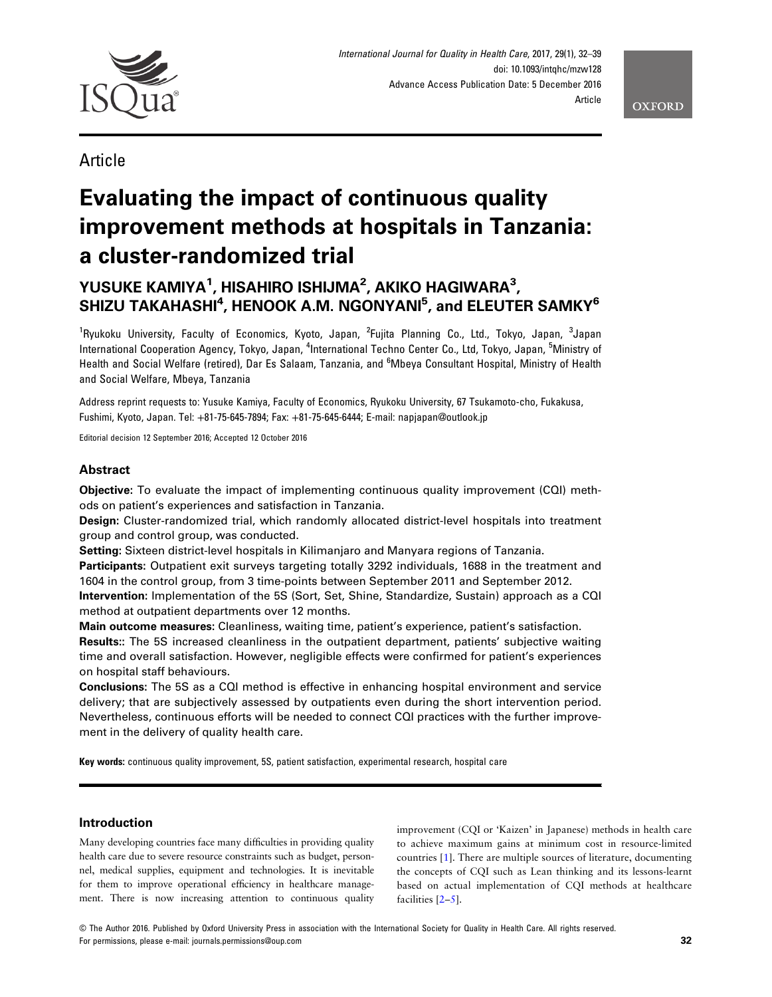

**Article** 

# Evaluating the impact of continuous quality improvement methods at hospitals in Tanzania: a cluster-randomized trial

## YUSUKE KAMIYA<sup>1</sup>, HISAHIRO ISHIJMA<sup>2</sup>, AKIKO HAGIWARA<sup>3</sup>, SHIZU TAKAHASHI $^4$ , HENOOK A.M. NGONYANI $^5$ , and ELEUTER SAMKY $^6$

<sup>1</sup>Ryukoku University, Faculty of Economics, Kyoto, Japan, <sup>2</sup>Fujita Planning Co., Ltd., Tokyo, Japan, <sup>3</sup>Japan International Cooperation Agency, Tokyo, Japan, <sup>4</sup>International Techno Center Co., Ltd, Tokyo, Japan, <sup>5</sup>Ministry of Health and Social Welfare (retired), Dar Es Salaam, Tanzania, and <sup>6</sup>Mbeya Consultant Hospital, Ministry of Health and Social Welfare, Mbeya, Tanzania

Address reprint requests to: Yusuke Kamiya, Faculty of Economics, Ryukoku University, 67 Tsukamoto-cho, Fukakusa, Fushimi, Kyoto, Japan. Tel: +81-75-645-7894; Fax: +81-75-645-6444; E-mail: napjapan@outlook.jp

Editorial decision 12 September 2016; Accepted 12 October 2016

### Abstract

Objective: To evaluate the impact of implementing continuous quality improvement (CQI) methods on patient's experiences and satisfaction in Tanzania.

Design: Cluster-randomized trial, which randomly allocated district-level hospitals into treatment group and control group, was conducted.

Setting: Sixteen district-level hospitals in Kilimanjaro and Manyara regions of Tanzania.

Participants: Outpatient exit surveys targeting totally 3292 individuals, 1688 in the treatment and 1604 in the control group, from 3 time-points between September 2011 and September 2012.

Intervention: Implementation of the 5S (Sort, Set, Shine, Standardize, Sustain) approach as a CQI method at outpatient departments over 12 months.

Main outcome measures: Cleanliness, waiting time, patient's experience, patient's satisfaction. Results:: The 5S increased cleanliness in the outpatient department, patients' subjective waiting time and overall satisfaction. However, negligible effects were confirmed for patient's experiences on hospital staff behaviours.

Conclusions: The 5S as a CQI method is effective in enhancing hospital environment and service delivery; that are subjectively assessed by outpatients even during the short intervention period. Nevertheless, continuous efforts will be needed to connect CQI practices with the further improvement in the delivery of quality health care.

Key words: continuous quality improvement, 5S, patient satisfaction, experimental research, hospital care

#### Introduction

Many developing countries face many difficulties in providing quality health care due to severe resource constraints such as budget, personnel, medical supplies, equipment and technologies. It is inevitable for them to improve operational efficiency in healthcare management. There is now increasing attention to continuous quality

improvement (CQI or 'Kaizen' in Japanese) methods in health care to achieve maximum gains at minimum cost in resource-limited countries [[1](#page-6-0)]. There are multiple sources of literature, documenting the concepts of CQI such as Lean thinking and its lessons-learnt based on actual implementation of CQI methods at healthcare facilities [[2](#page-6-0)–[5\]](#page-6-0).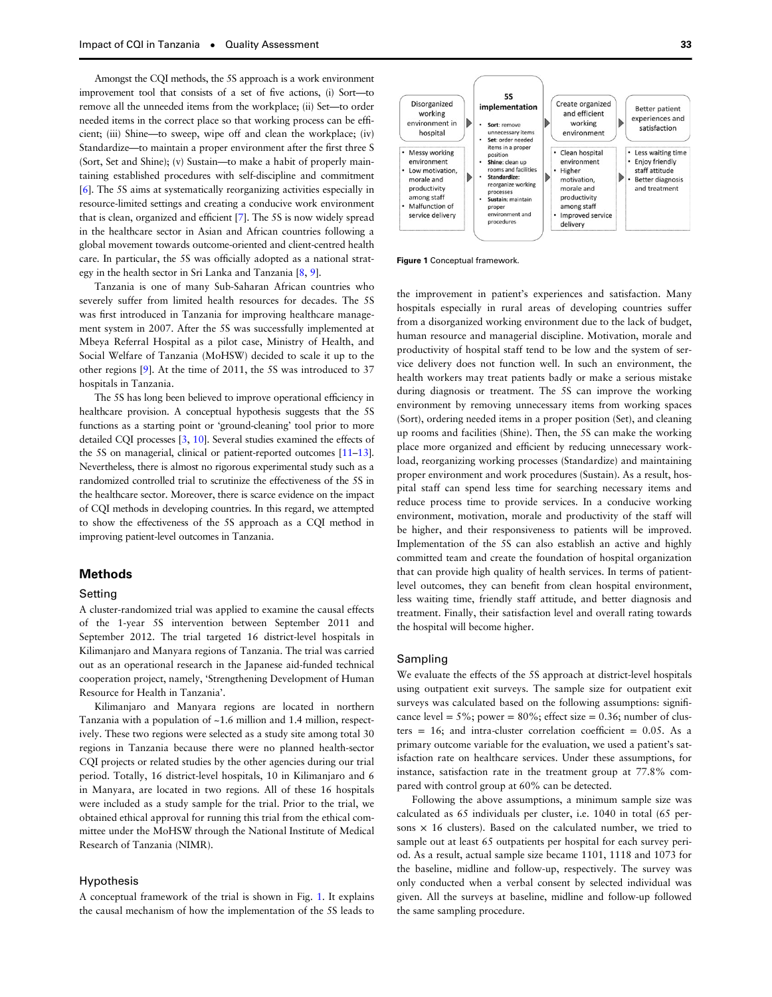Amongst the CQI methods, the 5S approach is a work environment improvement tool that consists of a set of five actions, (i) Sort—to remove all the unneeded items from the workplace; (ii) Set—to order needed items in the correct place so that working process can be efficient; (iii) Shine—to sweep, wipe off and clean the workplace; (iv) Standardize—to maintain a proper environment after the first three S (Sort, Set and Shine); (v) Sustain—to make a habit of properly maintaining established procedures with self-discipline and commitment [[6\]](#page-6-0). The 5S aims at systematically reorganizing activities especially in resource-limited settings and creating a conducive work environment that is clean, organized and efficient [[7](#page-6-0)]. The 5S is now widely spread in the healthcare sector in Asian and African countries following a global movement towards outcome-oriented and client-centred health care. In particular, the 5S was officially adopted as a national strategy in the health sector in Sri Lanka and Tanzania [\[8,](#page-6-0) [9](#page-6-0)].

Tanzania is one of many Sub-Saharan African countries who severely suffer from limited health resources for decades. The 5S was first introduced in Tanzania for improving healthcare management system in 2007. After the 5S was successfully implemented at Mbeya Referral Hospital as a pilot case, Ministry of Health, and Social Welfare of Tanzania (MoHSW) decided to scale it up to the other regions [\[9\]](#page-6-0). At the time of 2011, the 5S was introduced to 37 hospitals in Tanzania.

The 5S has long been believed to improve operational efficiency in healthcare provision. A conceptual hypothesis suggests that the 5S functions as a starting point or 'ground-cleaning' tool prior to more detailed CQI processes [\[3](#page-6-0), [10\]](#page-7-0). Several studies examined the effects of the 5S on managerial, clinical or patient-reported outcomes [\[11](#page-7-0)–[13](#page-7-0)]. Nevertheless, there is almost no rigorous experimental study such as a randomized controlled trial to scrutinize the effectiveness of the 5S in the healthcare sector. Moreover, there is scarce evidence on the impact of CQI methods in developing countries. In this regard, we attempted to show the effectiveness of the 5S approach as a CQI method in improving patient-level outcomes in Tanzania.

#### Methods

#### Setting

A cluster-randomized trial was applied to examine the causal effects of the 1-year 5S intervention between September 2011 and September 2012. The trial targeted 16 district-level hospitals in Kilimanjaro and Manyara regions of Tanzania. The trial was carried out as an operational research in the Japanese aid-funded technical cooperation project, namely, 'Strengthening Development of Human Resource for Health in Tanzania'.

Kilimanjaro and Manyara regions are located in northern Tanzania with a population of ~1.6 million and 1.4 million, respectively. These two regions were selected as a study site among total 30 regions in Tanzania because there were no planned health-sector CQI projects or related studies by the other agencies during our trial period. Totally, 16 district-level hospitals, 10 in Kilimanjaro and 6 in Manyara, are located in two regions. All of these 16 hospitals were included as a study sample for the trial. Prior to the trial, we obtained ethical approval for running this trial from the ethical committee under the MoHSW through the National Institute of Medical Research of Tanzania (NIMR).

#### Hypothesis

A conceptual framework of the trial is shown in Fig. 1. It explains the causal mechanism of how the implementation of the 5S leads to



Figure 1 Conceptual framework.

the improvement in patient's experiences and satisfaction. Many hospitals especially in rural areas of developing countries suffer from a disorganized working environment due to the lack of budget, human resource and managerial discipline. Motivation, morale and productivity of hospital staff tend to be low and the system of service delivery does not function well. In such an environment, the health workers may treat patients badly or make a serious mistake during diagnosis or treatment. The 5S can improve the working environment by removing unnecessary items from working spaces (Sort), ordering needed items in a proper position (Set), and cleaning up rooms and facilities (Shine). Then, the 5S can make the working place more organized and efficient by reducing unnecessary workload, reorganizing working processes (Standardize) and maintaining proper environment and work procedures (Sustain). As a result, hospital staff can spend less time for searching necessary items and reduce process time to provide services. In a conducive working environment, motivation, morale and productivity of the staff will be higher, and their responsiveness to patients will be improved. Implementation of the 5S can also establish an active and highly committed team and create the foundation of hospital organization that can provide high quality of health services. In terms of patientlevel outcomes, they can benefit from clean hospital environment, less waiting time, friendly staff attitude, and better diagnosis and treatment. Finally, their satisfaction level and overall rating towards the hospital will become higher.

#### Sampling

We evaluate the effects of the 5S approach at district-level hospitals using outpatient exit surveys. The sample size for outpatient exit surveys was calculated based on the following assumptions: significance level =  $5\%$ ; power =  $80\%$ ; effect size = 0.36; number of clusters =  $16$ ; and intra-cluster correlation coefficient =  $0.05$ . As a primary outcome variable for the evaluation, we used a patient's satisfaction rate on healthcare services. Under these assumptions, for instance, satisfaction rate in the treatment group at 77.8% compared with control group at 60% can be detected.

Following the above assumptions, a minimum sample size was calculated as 65 individuals per cluster, i.e. 1040 in total (65 persons  $\times$  16 clusters). Based on the calculated number, we tried to sample out at least 65 outpatients per hospital for each survey period. As a result, actual sample size became 1101, 1118 and 1073 for the baseline, midline and follow-up, respectively. The survey was only conducted when a verbal consent by selected individual was given. All the surveys at baseline, midline and follow-up followed the same sampling procedure.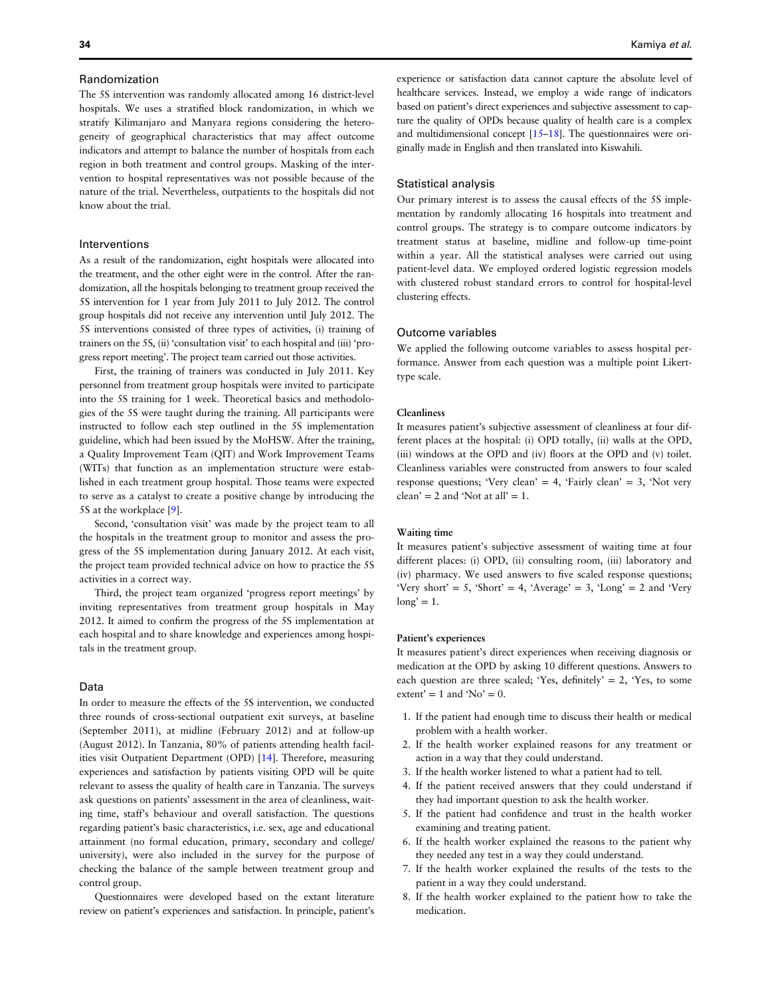#### Randomization

The 5S intervention was randomly allocated among 16 district-level hospitals. We uses a stratified block randomization, in which we stratify Kilimanjaro and Manyara regions considering the heterogeneity of geographical characteristics that may affect outcome indicators and attempt to balance the number of hospitals from each region in both treatment and control groups. Masking of the intervention to hospital representatives was not possible because of the nature of the trial. Nevertheless, outpatients to the hospitals did not know about the trial.

#### Interventions

As a result of the randomization, eight hospitals were allocated into the treatment, and the other eight were in the control. After the randomization, all the hospitals belonging to treatment group received the 5S intervention for 1 year from July 2011 to July 2012. The control group hospitals did not receive any intervention until July 2012. The 5S interventions consisted of three types of activities, (i) training of trainers on the 5S, (ii) 'consultation visit' to each hospital and (iii) 'progress report meeting'. The project team carried out those activities.

First, the training of trainers was conducted in July 2011. Key personnel from treatment group hospitals were invited to participate into the 5S training for 1 week. Theoretical basics and methodologies of the 5S were taught during the training. All participants were instructed to follow each step outlined in the 5S implementation guideline, which had been issued by the MoHSW. After the training, a Quality Improvement Team (QIT) and Work Improvement Teams (WITs) that function as an implementation structure were established in each treatment group hospital. Those teams were expected to serve as a catalyst to create a positive change by introducing the 5S at the workplace [\[9\]](#page-6-0).

Second, 'consultation visit' was made by the project team to all the hospitals in the treatment group to monitor and assess the progress of the 5S implementation during January 2012. At each visit, the project team provided technical advice on how to practice the 5S activities in a correct way.

Third, the project team organized 'progress report meetings' by inviting representatives from treatment group hospitals in May 2012. It aimed to confirm the progress of the 5S implementation at each hospital and to share knowledge and experiences among hospitals in the treatment group.

#### Data

In order to measure the effects of the 5S intervention, we conducted three rounds of cross-sectional outpatient exit surveys, at baseline (September 2011), at midline (February 2012) and at follow-up (August 2012). In Tanzania, 80% of patients attending health facilities visit Outpatient Department (OPD) [\[14](#page-7-0)]. Therefore, measuring experiences and satisfaction by patients visiting OPD will be quite relevant to assess the quality of health care in Tanzania. The surveys ask questions on patients' assessment in the area of cleanliness, waiting time, staff's behaviour and overall satisfaction. The questions regarding patient's basic characteristics, i.e. sex, age and educational attainment (no formal education, primary, secondary and college/ university), were also included in the survey for the purpose of checking the balance of the sample between treatment group and control group.

Questionnaires were developed based on the extant literature review on patient's experiences and satisfaction. In principle, patient's experience or satisfaction data cannot capture the absolute level of healthcare services. Instead, we employ a wide range of indicators based on patient's direct experiences and subjective assessment to capture the quality of OPDs because quality of health care is a complex and multidimensional concept [\[15](#page-7-0)–[18\]](#page-7-0). The questionnaires were originally made in English and then translated into Kiswahili.

#### Statistical analysis

Our primary interest is to assess the causal effects of the 5S implementation by randomly allocating 16 hospitals into treatment and control groups. The strategy is to compare outcome indicators by treatment status at baseline, midline and follow-up time-point within a year. All the statistical analyses were carried out using patient-level data. We employed ordered logistic regression models with clustered robust standard errors to control for hospital-level clustering effects.

#### Outcome variables

We applied the following outcome variables to assess hospital performance. Answer from each question was a multiple point Likerttype scale.

It measures patient's subjective assessment of cleanliness at four different places at the hospital: (i) OPD totally, (ii) walls at the OPD, (iii) windows at the OPD and (iv) floors at the OPD and (v) toilet. Cleanliness variables were constructed from answers to four scaled response questions; 'Very clean' = 4, 'Fairly clean' = 3, 'Not very clean' = 2 and 'Not at all' = 1.

Waiting time It measures patient's subjective assessment of waiting time at four different places: (i) OPD, (ii) consulting room, (iii) laboratory and (iv) pharmacy. We used answers to five scaled response questions; 'Very short' = 5, 'Short' = 4, 'Average' = 3, 'Long' = 2 and 'Very  $long' = 1$ .

#### Patient's experiences

It measures patient's direct experiences when receiving diagnosis or medication at the OPD by asking 10 different questions. Answers to each question are three scaled; 'Yes, definitely' = 2, 'Yes, to some extent' = 1 and ' $No' = 0$ .

- 1. If the patient had enough time to discuss their health or medical problem with a health worker.
- 2. If the health worker explained reasons for any treatment or action in a way that they could understand.
- 3. If the health worker listened to what a patient had to tell.
- 4. If the patient received answers that they could understand if they had important question to ask the health worker.
- 5. If the patient had confidence and trust in the health worker examining and treating patient.
- 6. If the health worker explained the reasons to the patient why they needed any test in a way they could understand.
- 7. If the health worker explained the results of the tests to the patient in a way they could understand.
- 8. If the health worker explained to the patient how to take the medication.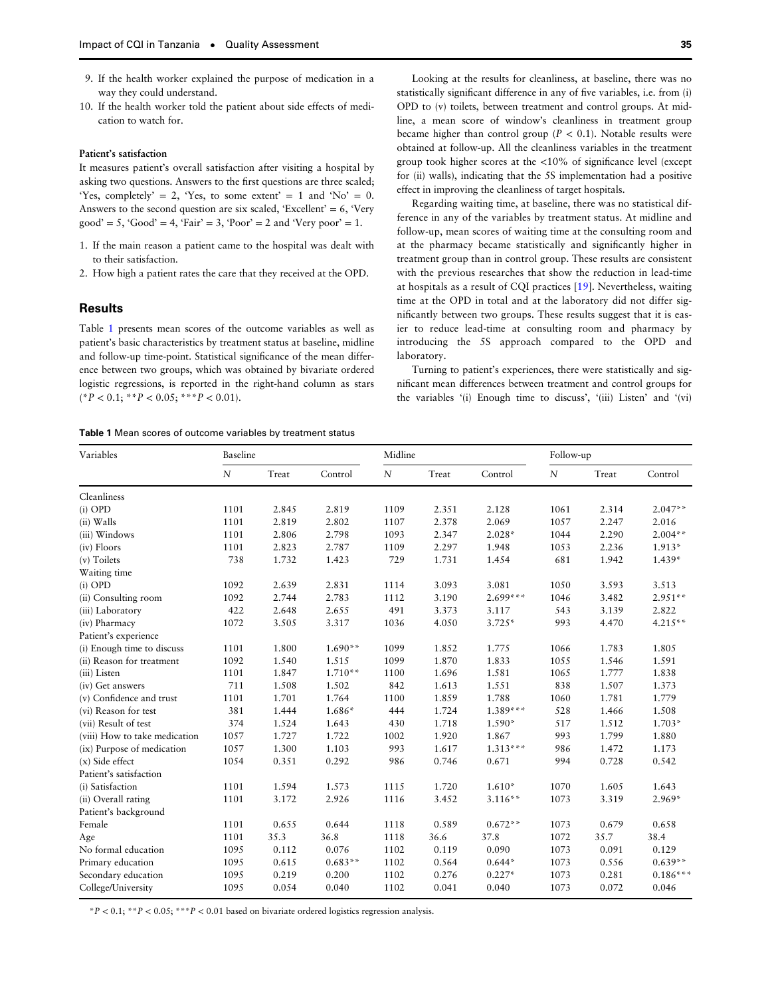- 9. If the health worker explained the purpose of medication in a way they could understand.
- 10. If the health worker told the patient about side effects of medication to watch for.

#### Patient's satisfaction

It measures patient's overall satisfaction after visiting a hospital by asking two questions. Answers to the first questions are three scaled; 'Yes, completely' = 2, 'Yes, to some extent' = 1 and 'No' = 0. Answers to the second question are six scaled, 'Excellent' =  $6$ , 'Very  $good' = 5$ , ' $Good' = 4$ , ' $Fair' = 3$ , ' $Poor' = 2$  and ' $Very poor' = 1$ .

- 1. If the main reason a patient came to the hospital was dealt with to their satisfaction.
- 2. How high a patient rates the care that they received at the OPD.

#### **Results**

Table 1 presents mean scores of the outcome variables as well as patient's basic characteristics by treatment status at baseline, midline and follow-up time-point. Statistical significance of the mean difference between two groups, which was obtained by bivariate ordered logistic regressions, is reported in the right-hand column as stars  $(*P < 0.1; **P < 0.05; **P < 0.01).$ 

Regarding waiting time, at baseline, there was no statistical difference in any of the variables by treatment status. At midline and follow-up, mean scores of waiting time at the consulting room and at the pharmacy became statistically and significantly higher in treatment group than in control group. These results are consistent with the previous researches that show the reduction in lead-time at hospitals as a result of CQI practices [[19](#page-7-0)]. Nevertheless, waiting time at the OPD in total and at the laboratory did not differ significantly between two groups. These results suggest that it is easier to reduce lead-time at consulting room and pharmacy by introducing the 5S approach compared to the OPD and laboratory.

for (ii) walls), indicating that the 5S implementation had a positive

effect in improving the cleanliness of target hospitals.

Turning to patient's experiences, there were statistically and significant mean differences between treatment and control groups for the variables '(i) Enough time to discuss', '(iii) Listen' and '(vi)

Table 1 Mean scores of outcome variables by treatment status

| Variables                     | Baseline |       |           | Midline  |       |            | Follow-up |       |            |
|-------------------------------|----------|-------|-----------|----------|-------|------------|-----------|-------|------------|
|                               | $\cal N$ | Treat | Control   | $\cal N$ | Treat | Control    | $\cal N$  | Treat | Control    |
| Cleanliness                   |          |       |           |          |       |            |           |       |            |
| $(i)$ OPD                     | 1101     | 2.845 | 2.819     | 1109     | 2.351 | 2.128      | 1061      | 2.314 | $2.047**$  |
| $(ii)$ Walls                  | 1101     | 2.819 | 2.802     | 1107     | 2.378 | 2.069      | 1057      | 2.247 | 2.016      |
| (iii) Windows                 | 1101     | 2.806 | 2.798     | 1093     | 2.347 | $2.028*$   | 1044      | 2.290 | $2.004**$  |
| (iv) Floors                   | 1101     | 2.823 | 2.787     | 1109     | 2.297 | 1.948      | 1053      | 2.236 | $1.913*$   |
| $(v)$ Toilets                 | 738      | 1.732 | 1.423     | 729      | 1.731 | 1.454      | 681       | 1.942 | 1.439*     |
| Waiting time                  |          |       |           |          |       |            |           |       |            |
| $(i)$ OPD                     | 1092     | 2.639 | 2.831     | 1114     | 3.093 | 3.081      | 1050      | 3.593 | 3.513      |
| (ii) Consulting room          | 1092     | 2.744 | 2.783     | 1112     | 3.190 | $2.699***$ | 1046      | 3.482 | $2.951**$  |
| (iii) Laboratory              | 422      | 2.648 | 2.655     | 491      | 3.373 | 3.117      | 543       | 3.139 | 2.822      |
| (iv) Pharmacy                 | 1072     | 3.505 | 3.317     | 1036     | 4.050 | $3.725*$   | 993       | 4.470 | $4.215**$  |
| Patient's experience          |          |       |           |          |       |            |           |       |            |
| (i) Enough time to discuss    | 1101     | 1.800 | $1.690**$ | 1099     | 1.852 | 1.775      | 1066      | 1.783 | 1.805      |
| (ii) Reason for treatment     | 1092     | 1.540 | 1.515     | 1099     | 1.870 | 1.833      | 1055      | 1.546 | 1.591      |
| (iii) Listen                  | 1101     | 1.847 | $1.710**$ | 1100     | 1.696 | 1.581      | 1065      | 1.777 | 1.838      |
| (iv) Get answers              | 711      | 1.508 | 1.502     | 842      | 1.613 | 1.551      | 838       | 1.507 | 1.373      |
| (v) Confidence and trust      | 1101     | 1.701 | 1.764     | 1100     | 1.859 | 1.788      | 1060      | 1.781 | 1.779      |
| (vi) Reason for test          | 381      | 1.444 | 1.686*    | 444      | 1.724 | 1.389***   | 528       | 1.466 | 1.508      |
| (vii) Result of test          | 374      | 1.524 | 1.643     | 430      | 1.718 | $1.590*$   | 517       | 1.512 | 1.703*     |
| (viii) How to take medication | 1057     | 1.727 | 1.722     | 1002     | 1.920 | 1.867      | 993       | 1.799 | 1.880      |
| (ix) Purpose of medication    | 1057     | 1.300 | 1.103     | 993      | 1.617 | $1.313***$ | 986       | 1.472 | 1.173      |
| $(x)$ Side effect             | 1054     | 0.351 | 0.292     | 986      | 0.746 | 0.671      | 994       | 0.728 | 0.542      |
| Patient's satisfaction        |          |       |           |          |       |            |           |       |            |
| (i) Satisfaction              | 1101     | 1.594 | 1.573     | 1115     | 1.720 | $1.610*$   | 1070      | 1.605 | 1.643      |
| (ii) Overall rating           | 1101     | 3.172 | 2.926     | 1116     | 3.452 | $3.116***$ | 1073      | 3.319 | 2.969*     |
| Patient's background          |          |       |           |          |       |            |           |       |            |
| Female                        | 1101     | 0.655 | 0.644     | 1118     | 0.589 | $0.672**$  | 1073      | 0.679 | 0.658      |
| Age                           | 1101     | 35.3  | 36.8      | 1118     | 36.6  | 37.8       | 1072      | 35.7  | 38.4       |
| No formal education           | 1095     | 0.112 | 0.076     | 1102     | 0.119 | 0.090      | 1073      | 0.091 | 0.129      |
| Primary education             | 1095     | 0.615 | $0.683**$ | 1102     | 0.564 | $0.644*$   | 1073      | 0.556 | $0.639**$  |
| Secondary education           | 1095     | 0.219 | 0.200     | 1102     | 0.276 | $0.227*$   | 1073      | 0.281 | $0.186***$ |
| College/University            | 1095     | 0.054 | 0.040     | 1102     | 0.041 | 0.040      | 1073      | 0.072 | 0.046      |

 $*P < 0.1$ ;  $*P < 0.05$ ;  $* * P < 0.01$  based on bivariate ordered logistics regression analysis.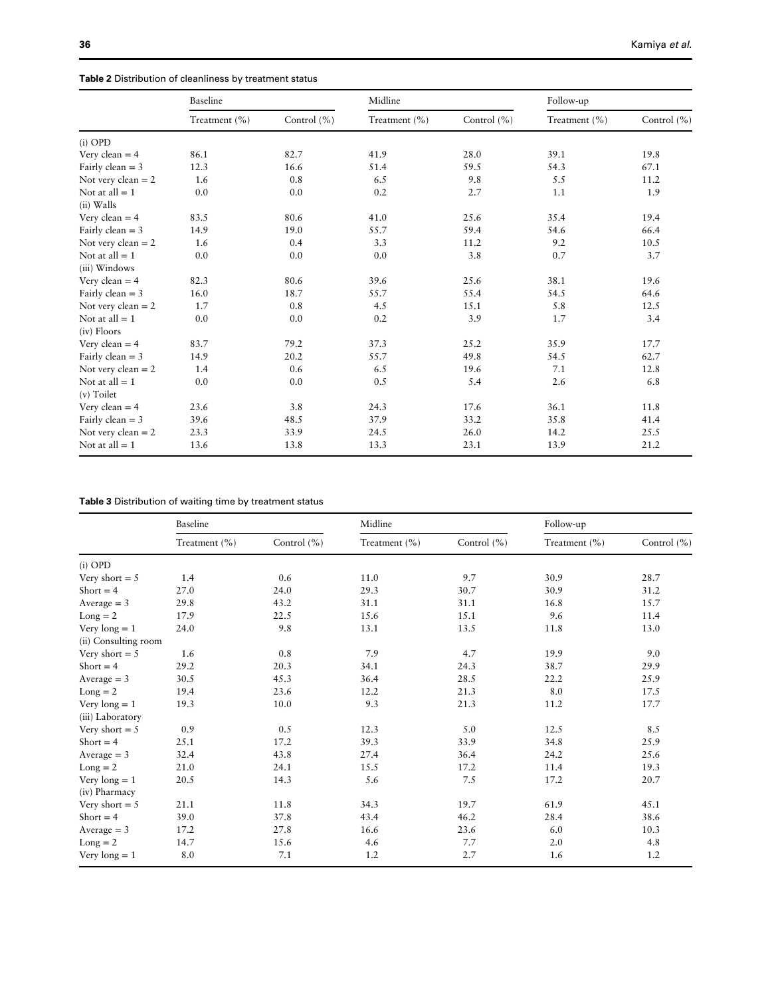<span id="page-4-0"></span>Table 2 Distribution of cleanliness by treatment status

|                                   | Baseline          |                 | Midline       |                 | Follow-up         |             |
|-----------------------------------|-------------------|-----------------|---------------|-----------------|-------------------|-------------|
|                                   | Treatment $(\% )$ | Control $(\% )$ | Treatment (%) | Control $(\% )$ | Treatment $(\% )$ | Control (%) |
| $(i)$ OPD                         |                   |                 |               |                 |                   |             |
| Very clean $=$ 4                  | 86.1              | 82.7            | 41.9          | 28.0            | 39.1              | 19.8        |
| Fairly clean $=$ 3                | 12.3              | 16.6            | 51.4          | 59.5            | 54.3              | 67.1        |
| Not very clean $= 2$              | 1.6               | 0.8             | 6.5           | 9.8             | 5.5               | 11.2        |
| Not at all $= 1$<br>$(ii)$ Walls  | 0.0               | 0.0             | 0.2           | 2.7             | 1.1               | 1.9         |
| Very clean $=$ 4                  | 83.5              | 80.6            | 41.0          | 25.6            | 35.4              | 19.4        |
| Fairly clean $=$ 3                | 14.9              | 19.0            | 55.7          | 59.4            | 54.6              | 66.4        |
| Not very clean $= 2$              | 1.6               | 0.4             | 3.3           | 11.2            | 9.2               | 10.5        |
| Not at all $= 1$<br>(iii) Windows | 0.0               | 0.0             | 0.0           | 3.8             | 0.7               | 3.7         |
| Very clean $=$ 4                  | 82.3              | 80.6            | 39.6          | 25.6            | 38.1              | 19.6        |
| Fairly clean $=$ 3                | 16.0              | 18.7            | 55.7          | 55.4            | 54.5              | 64.6        |
| Not very clean $= 2$              | 1.7               | 0.8             | 4.5           | 15.1            | 5.8               | 12.5        |
| Not at all $= 1$<br>(iv) Floors   | 0.0               | 0.0             | 0.2           | 3.9             | 1.7               | 3.4         |
| Very clean $=$ 4                  | 83.7              | 79.2            | 37.3          | 25.2            | 35.9              | 17.7        |
| Fairly clean $=$ 3                | 14.9              | 20.2            | 55.7          | 49.8            | 54.5              | 62.7        |
| Not very clean $= 2$              | 1.4               | 0.6             | 6.5           | 19.6            | 7.1               | 12.8        |
| Not at all $= 1$<br>(v) Toilet    | 0.0               | 0.0             | 0.5           | 5.4             | 2.6               | 6.8         |
| Very clean $=$ 4                  | 23.6              | 3.8             | 24.3          | 17.6            | 36.1              | 11.8        |
| Fairly clean $=$ 3                | 39.6              | 48.5            | 37.9          | 33.2            | 35.8              | 41.4        |
| Not very clean $= 2$              | 23.3              | 33.9            | 24.5          | 26.0            | 14.2              | 25.5        |
| Not at all $= 1$                  | 13.6              | 13.8            | 13.3          | 23.1            | 13.9              | 21.2        |

### Table 3 Distribution of waiting time by treatment status

|                      | Baseline      |                 | Midline       |                 | Follow-up     |             |
|----------------------|---------------|-----------------|---------------|-----------------|---------------|-------------|
|                      | Treatment (%) | Control $(\% )$ | Treatment (%) | Control $(\% )$ | Treatment (%) | Control (%) |
| $(i)$ OPD            |               |                 |               |                 |               |             |
| Very short $= 5$     | 1.4           | 0.6             | 11.0          | 9.7             | 30.9          | 28.7        |
| Short = $4$          | 27.0          | 24.0            | 29.3          | 30.7            | 30.9          | 31.2        |
| Average $=$ 3        | 29.8          | 43.2            | 31.1          | 31.1            | 16.8          | 15.7        |
| $Long = 2$           | 17.9          | 22.5            | 15.6          | 15.1            | 9.6           | 11.4        |
| Very $long = 1$      | 24.0          | 9.8             | 13.1          | 13.5            | 11.8          | 13.0        |
| (ii) Consulting room |               |                 |               |                 |               |             |
| Very short = $5$     | 1.6           | 0.8             | 7.9           | 4.7             | 19.9          | 9.0         |
| Short = $4$          | 29.2          | 20.3            | 34.1          | 24.3            | 38.7          | 29.9        |
| Average $=$ 3        | 30.5          | 45.3            | 36.4          | 28.5            | 22.2          | 25.9        |
| $Long = 2$           | 19.4          | 23.6            | 12.2          | 21.3            | 8.0           | 17.5        |
| Very $long = 1$      | 19.3          | 10.0            | 9.3           | 21.3            | 11.2          | 17.7        |
| (iii) Laboratory     |               |                 |               |                 |               |             |
| Very short $= 5$     | 0.9           | 0.5             | 12.3          | 5.0             | 12.5          | 8.5         |
| Short = $4$          | 25.1          | 17.2            | 39.3          | 33.9            | 34.8          | 25.9        |
| Average $=$ 3        | 32.4          | 43.8            | 27.4          | 36.4            | 24.2          | 25.6        |
| $Long = 2$           | 21.0          | 24.1            | 15.5          | 17.2            | 11.4          | 19.3        |
| Very $long = 1$      | 20.5          | 14.3            | 5.6           | 7.5             | 17.2          | 20.7        |
| (iv) Pharmacy        |               |                 |               |                 |               |             |
| Very short = $5$     | 21.1          | 11.8            | 34.3          | 19.7            | 61.9          | 45.1        |
| $Short = 4$          | 39.0          | 37.8            | 43.4          | 46.2            | 28.4          | 38.6        |
| $Average = 3$        | 17.2          | 27.8            | 16.6          | 23.6            | 6.0           | 10.3        |
| $Long = 2$           | 14.7          | 15.6            | 4.6           | 7.7             | 2.0           | 4.8         |
| Very $long = 1$      | 8.0           | 7.1             | 1.2           | 2.7             | 1.6           | 1.2         |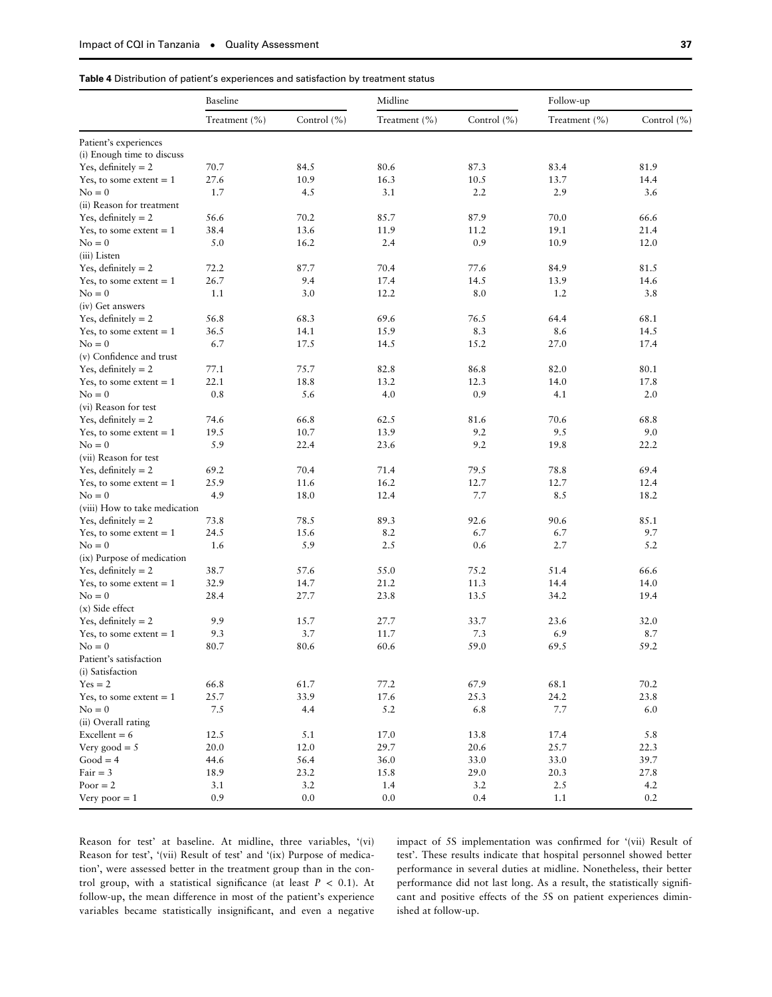#### <span id="page-5-0"></span>Table 4 Distribution of patient's experiences and satisfaction by treatment status

|                               | Baseline      |             | Midline       |                 | Follow-up     |                 |
|-------------------------------|---------------|-------------|---------------|-----------------|---------------|-----------------|
|                               | Treatment (%) | Control (%) | Treatment (%) | Control $(\% )$ | Treatment (%) | Control $(\% )$ |
| Patient's experiences         |               |             |               |                 |               |                 |
| (i) Enough time to discuss    |               |             |               |                 |               |                 |
| Yes, definitely = $2$         | 70.7          | 84.5        | 80.6          | 87.3            | 83.4          | 81.9            |
| Yes, to some extent $= 1$     | 27.6          | 10.9        | 16.3          | 10.5            | 13.7          | 14.4            |
| $No = 0$                      | 1.7           | 4.5         | 3.1           | 2.2             | 2.9           | 3.6             |
| (ii) Reason for treatment     |               |             |               |                 |               |                 |
| Yes, definitely $= 2$         | 56.6          | 70.2        | 85.7          | 87.9            | 70.0          | 66.6            |
| Yes, to some extent $= 1$     | 38.4          | 13.6        | 11.9          | 11.2            | 19.1          | 21.4            |
| $No = 0$                      | 5.0           | 16.2        | 2.4           | 0.9             | 10.9          | 12.0            |
| (iii) Listen                  |               |             |               |                 |               |                 |
|                               |               |             |               |                 |               | 81.5            |
| Yes, definitely $= 2$         | 72.2<br>26.7  | 87.7<br>9.4 | 70.4<br>17.4  | 77.6            | 84.9          |                 |
| Yes, to some extent $= 1$     |               |             |               | 14.5            | 13.9          | 14.6            |
| $No = 0$                      | 1.1           | 3.0         | 12.2          | 8.0             | 1.2           | 3.8             |
| (iv) Get answers              |               |             |               |                 |               |                 |
| Yes, definitely $= 2$         | 56.8          | 68.3        | 69.6          | 76.5            | 64.4          | 68.1            |
| Yes, to some extent $= 1$     | 36.5          | 14.1        | 15.9          | 8.3             | 8.6           | 14.5            |
| $No = 0$                      | 6.7           | 17.5        | 14.5          | 15.2            | 27.0          | 17.4            |
| (v) Confidence and trust      |               |             |               |                 |               |                 |
| Yes, definitely $= 2$         | 77.1          | 75.7        | 82.8          | 86.8            | 82.0          | 80.1            |
| Yes, to some extent $= 1$     | 22.1          | 18.8        | 13.2          | 12.3            | 14.0          | 17.8            |
| $No = 0$                      | 0.8           | 5.6         | 4.0           | 0.9             | 4.1           | 2.0             |
| (vi) Reason for test          |               |             |               |                 |               |                 |
| Yes, definitely = $2$         | 74.6          | 66.8        | 62.5          | 81.6            | 70.6          | 68.8            |
| Yes, to some extent $= 1$     | 19.5          | 10.7        | 13.9          | 9.2             | 9.5           | 9.0             |
| $No = 0$                      | 5.9           | 22.4        | 23.6          | 9.2             | 19.8          | 22.2            |
| (vii) Reason for test         |               |             |               |                 |               |                 |
| Yes, definitely $= 2$         | 69.2          | 70.4        | 71.4          | 79.5            | 78.8          | 69.4            |
| Yes, to some extent $= 1$     | 25.9          | 11.6        | 16.2          | 12.7            | 12.7          | 12.4            |
| $No = 0$                      | 4.9           | 18.0        | 12.4          | 7.7             | 8.5           | 18.2            |
| (viii) How to take medication |               |             |               |                 |               |                 |
| Yes, definitely $= 2$         | 73.8          | 78.5        | 89.3          | 92.6            | 90.6          | 85.1            |
| Yes, to some extent $= 1$     | 24.5          | 15.6        | 8.2           | 6.7             | 6.7           | 9.7             |
| $No = 0$                      | 1.6           | 5.9         | 2.5           | 0.6             | 2.7           | 5.2             |
| (ix) Purpose of medication    |               |             |               |                 |               |                 |
| Yes, definitely $= 2$         | 38.7          | 57.6        | 55.0          | 75.2            | 51.4          | 66.6            |
| Yes, to some extent $= 1$     | 32.9          | 14.7        | 21.2          | 11.3            | 14.4          | 14.0            |
| $No = 0$                      | 28.4          | 27.7        | 23.8          | 13.5            | 34.2          | 19.4            |
| (x) Side effect               |               |             |               |                 |               |                 |
| Yes, definitely $= 2$         | 9.9           | 15.7        | 27.7          | 33.7            | 23.6          | 32.0            |
| Yes, to some extent $= 1$     |               | 3.7         | 11.7          | 7.3             | 6.9           | 8.7             |
|                               | 9.3           |             |               |                 |               |                 |
| $No = 0$                      | 80.7          | 80.6        | 60.6          | 59.0            | 69.5          | 59.2            |
| Patient's satisfaction        |               |             |               |                 |               |                 |
| (i) Satisfaction              |               |             |               |                 |               |                 |
| $Yes = 2$                     | 66.8          | 61.7        | 77.2          | 67.9            | 68.1          | 70.2            |
| Yes, to some extent $= 1$     | 25.7          | 33.9        | 17.6          | 25.3            | 24.2          | 23.8            |
| $No = 0$                      | 7.5           | 4.4         | 5.2           | 6.8             | 7.7           | 6.0             |
| (ii) Overall rating           |               |             |               |                 |               |                 |
| Excellent = $6$               | 12.5          | 5.1         | 17.0          | 13.8            | 17.4          | 5.8             |
| Very good $= 5$               | 20.0          | 12.0        | 29.7          | 20.6            | 25.7          | 22.3            |
| $Good = 4$                    | 44.6          | 56.4        | 36.0          | 33.0            | 33.0          | 39.7            |
| $Fair = 3$                    | 18.9          | 23.2        | 15.8          | 29.0            | 20.3          | 27.8            |
| Poor $= 2$                    | 3.1           | 3.2         | 1.4           | 3.2             | 2.5           | 4.2             |
| Very poor $= 1$               | 0.9           | 0.0         | 0.0           | 0.4             | 1.1           | 0.2             |

Reason for test' at baseline. At midline, three variables, '(vi) Reason for test', '(vii) Result of test' and '(ix) Purpose of medication', were assessed better in the treatment group than in the control group, with a statistical significance (at least  $P < 0.1$ ). At follow-up, the mean difference in most of the patient's experience variables became statistically insignificant, and even a negative impact of 5S implementation was confirmed for '(vii) Result of test'. These results indicate that hospital personnel showed better performance in several duties at midline. Nonetheless, their better performance did not last long. As a result, the statistically significant and positive effects of the 5S on patient experiences diminished at follow-up.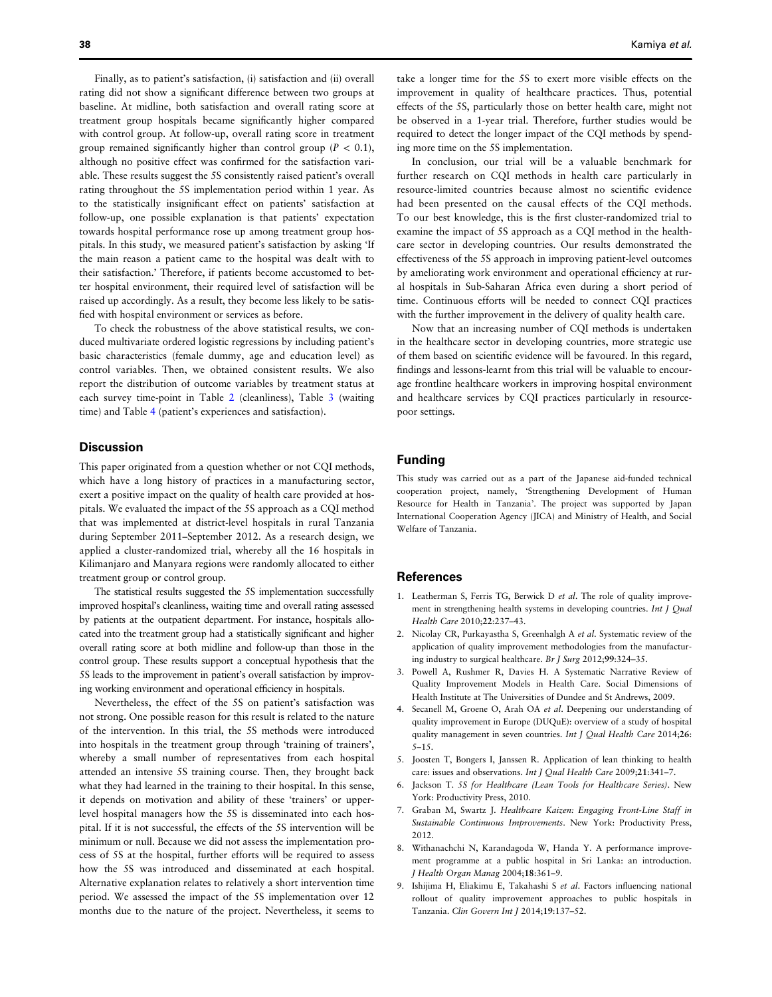<span id="page-6-0"></span>Finally, as to patient's satisfaction, (i) satisfaction and (ii) overall rating did not show a significant difference between two groups at baseline. At midline, both satisfaction and overall rating score at treatment group hospitals became significantly higher compared with control group. At follow-up, overall rating score in treatment group remained significantly higher than control group ( $P < 0.1$ ), although no positive effect was confirmed for the satisfaction variable. These results suggest the 5S consistently raised patient's overall rating throughout the 5S implementation period within 1 year. As to the statistically insignificant effect on patients' satisfaction at follow-up, one possible explanation is that patients' expectation towards hospital performance rose up among treatment group hospitals. In this study, we measured patient's satisfaction by asking 'If the main reason a patient came to the hospital was dealt with to their satisfaction.' Therefore, if patients become accustomed to better hospital environment, their required level of satisfaction will be raised up accordingly. As a result, they become less likely to be satisfied with hospital environment or services as before.

To check the robustness of the above statistical results, we conduced multivariate ordered logistic regressions by including patient's basic characteristics (female dummy, age and education level) as control variables. Then, we obtained consistent results. We also report the distribution of outcome variables by treatment status at each survey time-point in Table [2](#page-4-0) (cleanliness), Table [3](#page-4-0) (waiting time) and Table [4](#page-5-0) (patient's experiences and satisfaction).

#### **Discussion**

This paper originated from a question whether or not CQI methods, which have a long history of practices in a manufacturing sector, exert a positive impact on the quality of health care provided at hospitals. We evaluated the impact of the 5S approach as a CQI method that was implemented at district-level hospitals in rural Tanzania during September 2011–September 2012. As a research design, we applied a cluster-randomized trial, whereby all the 16 hospitals in Kilimanjaro and Manyara regions were randomly allocated to either treatment group or control group.

The statistical results suggested the 5S implementation successfully improved hospital's cleanliness, waiting time and overall rating assessed by patients at the outpatient department. For instance, hospitals allocated into the treatment group had a statistically significant and higher overall rating score at both midline and follow-up than those in the control group. These results support a conceptual hypothesis that the 5S leads to the improvement in patient's overall satisfaction by improving working environment and operational efficiency in hospitals.

Nevertheless, the effect of the 5S on patient's satisfaction was not strong. One possible reason for this result is related to the nature of the intervention. In this trial, the 5S methods were introduced into hospitals in the treatment group through 'training of trainers', whereby a small number of representatives from each hospital attended an intensive 5S training course. Then, they brought back what they had learned in the training to their hospital. In this sense, it depends on motivation and ability of these 'trainers' or upperlevel hospital managers how the 5S is disseminated into each hospital. If it is not successful, the effects of the 5S intervention will be minimum or null. Because we did not assess the implementation process of 5S at the hospital, further efforts will be required to assess how the 5S was introduced and disseminated at each hospital. Alternative explanation relates to relatively a short intervention time period. We assessed the impact of the 5S implementation over 12 months due to the nature of the project. Nevertheless, it seems to

take a longer time for the 5S to exert more visible effects on the improvement in quality of healthcare practices. Thus, potential effects of the 5S, particularly those on better health care, might not be observed in a 1-year trial. Therefore, further studies would be required to detect the longer impact of the CQI methods by spending more time on the 5S implementation.

In conclusion, our trial will be a valuable benchmark for further research on CQI methods in health care particularly in resource-limited countries because almost no scientific evidence had been presented on the causal effects of the CQI methods. To our best knowledge, this is the first cluster-randomized trial to examine the impact of 5S approach as a CQI method in the healthcare sector in developing countries. Our results demonstrated the effectiveness of the 5S approach in improving patient-level outcomes by ameliorating work environment and operational efficiency at rural hospitals in Sub-Saharan Africa even during a short period of time. Continuous efforts will be needed to connect CQI practices with the further improvement in the delivery of quality health care.

Now that an increasing number of CQI methods is undertaken in the healthcare sector in developing countries, more strategic use of them based on scientific evidence will be favoured. In this regard, findings and lessons-learnt from this trial will be valuable to encourage frontline healthcare workers in improving hospital environment and healthcare services by CQI practices particularly in resourcepoor settings.

#### Funding

This study was carried out as a part of the Japanese aid-funded technical cooperation project, namely, 'Strengthening Development of Human Resource for Health in Tanzania'. The project was supported by Japan International Cooperation Agency (JICA) and Ministry of Health, and Social Welfare of Tanzania.

#### References

- 1. Leatherman S, Ferris TG, Berwick D et al. The role of quality improvement in strengthening health systems in developing countries. Int J Qual Health Care 2010;22:237–43.
- 2. Nicolay CR, Purkayastha S, Greenhalgh A et al. Systematic review of the application of quality improvement methodologies from the manufacturing industry to surgical healthcare. Br J Surg 2012;99:324–35.
- 3. Powell A, Rushmer R, Davies H. A Systematic Narrative Review of Quality Improvement Models in Health Care. Social Dimensions of Health Institute at The Universities of Dundee and St Andrews, 2009.
- 4. Secanell M, Groene O, Arah OA et al. Deepening our understanding of quality improvement in Europe (DUQuE): overview of a study of hospital quality management in seven countries. Int J Qual Health Care 2014;26: 5–15.
- 5. Joosten T, Bongers I, Janssen R. Application of lean thinking to health care: issues and observations. Int J Qual Health Care 2009;21:341-7.
- 6. Jackson T. 5S for Healthcare (Lean Tools for Healthcare Series). New York: Productivity Press, 2010.
- 7. Graban M, Swartz J. Healthcare Kaizen: Engaging Front-Line Staff in Sustainable Continuous Improvements. New York: Productivity Press, 2012.
- 8. Withanachchi N, Karandagoda W, Handa Y. A performance improvement programme at a public hospital in Sri Lanka: an introduction. J Health Organ Manag 2004;18:361–9.
- 9. Ishijima H, Eliakimu E, Takahashi S et al. Factors influencing national rollout of quality improvement approaches to public hospitals in Tanzania. Clin Govern Int J 2014;19:137–52.